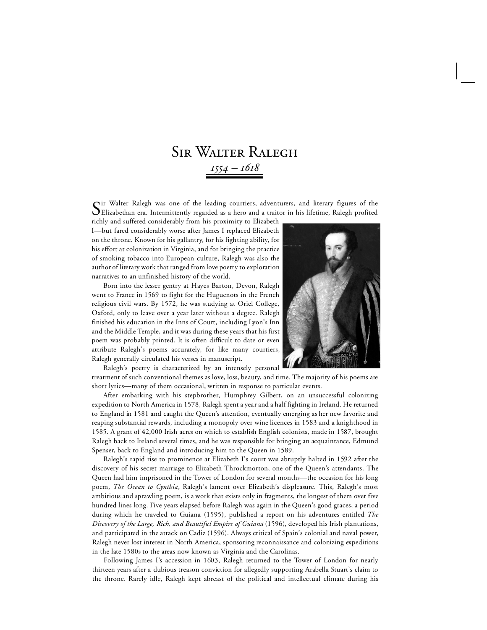# Sir Walter Ralegh *1554 – 1618*

Sim Walter Ralegh was one of the leading courtiers, adventurers, and literary figures of the Elizabethan era. Intermittently regarded as a hero and a traitor in his lifetime, Ralegh profited  $\gamma$ ir Walter Ralegh was one of the leading courtiers, adventurers, and literary figures of the

richly and suffered considerably from his proximity to Elizabeth I—but fared considerably worse after James I replaced Elizabeth on the throne. Known for his gallantry, for his fighting ability, for his effort at colonization in Virginia, and for bringing the practice of smoking tobacco into European culture, Ralegh was also the author of literary work that ranged from love poetry to exploration narratives to an unfinished history of the world.

Born into the lesser gentry at Hayes Barton, Devon, Ralegh went to France in 1569 to fight for the Huguenots in the French religious civil wars. By 1572, he was studying at Oriel College, Oxford, only to leave over a year later without a degree. Ralegh finished his education in the Inns of Court, including Lyon's Inn and the Middle Temple, and it was during these years that his first poem was probably printed. It is often difficult to date or even attribute Ralegh's poems accurately, for like many courtiers, Ralegh generally circulated his verses in manuscript.

Ralegh's poetry is characterized by an intensely personal treatment of such conventional themes as love, loss, beauty, and time. The majority of his poems are short lyrics—many of them occasional, written in response to particular events.

After embarking with his stepbrother, Humphrey Gilbert, on an unsuccessful colonizing expedition to North America in 1578, Ralegh spent a year and a half fighting in Ireland. He returned to England in 1581 and caught the Queen's attention, eventually emerging as her new favorite and reaping substantial rewards, including a monopoly over wine licences in 1583 and a knighthood in 1585. A grant of 42,000 Irish acres on which to establish English colonists, made in 1587, brought Ralegh back to Ireland several times, and he was responsible for bringing an acquaintance, Edmund Spenser, back to England and introducing him to the Queen in 1589.

Ralegh's rapid rise to prominence at Elizabeth I's court was abruptly halted in 1592 after the discovery of his secret marriage to Elizabeth Throckmorton, one of the Queen's attendants. The Queen had him imprisoned in the Tower of London for several months—the occasion for his long poem, *The Ocean to Cynthia*, Ralegh's lament over Elizabeth's displeasure. This, Ralegh's most ambitious and sprawling poem, is a work that exists only in fragments, the longest of them over five hundred lines long. Five years elapsed before Ralegh was again in the Queen's good graces, a period during which he traveled to Guiana (1595), published a report on his adventures entitled *The Discovery of the Large, Rich, and Beautiful Empire of Guiana* (1596), developed his Irish plantations, and participated in the attack on Cadiz (1596). Always critical of Spain's colonial and naval power, Ralegh never lost interest in North America, sponsoring reconnaissance and colonizing expeditions in the late 1580s to the areas now known as Virginia and the Carolinas.

Following James I's accession in 1603, Ralegh returned to the Tower of London for nearly thirteen years after a dubious treason conviction for allegedly supporting Arabella Stuart's claim to the throne. Rarely idle, Ralegh kept abreast of the political and intellectual climate during his

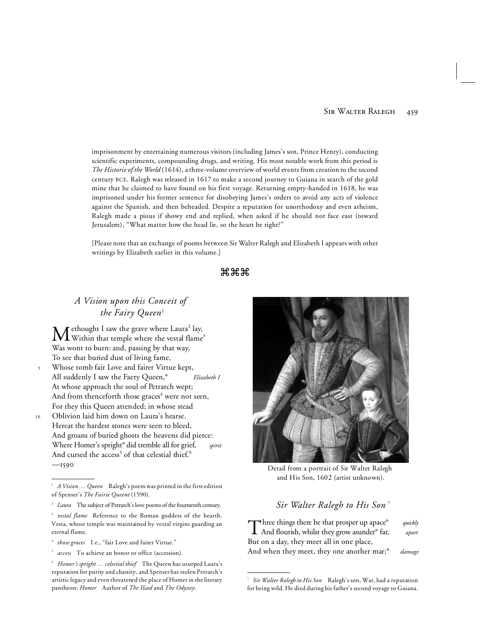imprisonment by entertaining numerous visitors (including James's son, Prince Henry), conducting scientific experiments, compounding drugs, and writing. His most notable work from this period is *The Historie of the World* (1614), a three-volume overview of world events from creation to the second century BCE. Ralegh was released in 1617 to make a second journey to Guiana in search of the gold mine that he claimed to have found on his first voyage. Returning empty-handed in 1618, he was imprisoned under his former sentence for disobeying James's orders to avoid any acts of violence against the Spanish, and then beheaded. Despite a reputation for unorthodoxy and even atheism, Ralegh made a pious if showy end and replied, when asked if he should not face east (toward Jerusalem), "What matter how the head lie, so the heart be right?"

[Please note that an exchange of poems between Sir Walter Ralegh and Elizabeth I appears with other writings by Elizabeth earlier in this volume.]

## zzz

# *A Vision upon this Conceit of* the Fairy Queen<sup>1</sup>

 $\mathbf{M}^{\text{ethought I saw the grave where Laura² lay,}$ <br>Within that temple where the vestal flame<sup>3</sup> ethought I saw the grave where Laura<sup>2</sup> lay, Was wont to burn: and, passing by that way, To see that buried dust of living fame,

- <sup>5</sup> Whose tomb fair Love and fairer Virtue kept, All suddenly I saw the Faery Queen,° *Elizabeth I* At whose approach the soul of Petrarch wept; And from thenceforth those graces<sup>4</sup> were not seen, For they this Queen attended; in whose stead
- <sup>10</sup> Oblivion laid him down on Laura's hearse. Hereat the hardest stones were seen to bleed, And groans of buried ghosts the heavens did pierce: Where Homer's spright° did tremble all for grief, *spirit* And cursed the access<sup>5</sup> of that celestial thief.<sup>6</sup>  $-1590$



Detail from a portrait of Sir Walter Ralegh and His Son, 1602 (artist unknown).

## *Sir Walter Ralegh to His Son* <sup>7</sup>

Three things there be that prosper up apace<sup>o</sup> quickly<br>And flourish, whilst they grow asunder<sup>o</sup> far, *apart* **Three things there be that prosper up apace** quickly But on a day, they meet all in one place,

And when they meet, they one another mar;° *damage*

<sup>&</sup>lt;sup>1</sup> *A Vision* ... *Queen* Ralegh's poem was printed in the first edition of Spenser's *The Fairie Queene* (1590).

<sup>&</sup>lt;sup>2</sup> *Laura* The subject of Petrarch's love poems of the fourteenth century.

<sup>3</sup> *vestal flame* Reference to the Roman goddess of the hearth, Vesta, whose temple was maintained by vestal virgins guarding an eternal flame.

<sup>4</sup> *those graces* I.e., "fair Love and fairer Virtue."

<sup>5</sup> *access* To achieve an honor or office (accession).

<sup>6</sup> *Homer's spright … celestial thief* The Queen has usurped Laura's reputation for purity and chastity, and Spenser has stolen Petrarch's artistic legacy and even threatened the place of Homer in the literary pantheon; *Homer* Author of *The Iliad* and *The Odyssey*.

<sup>7</sup> *Sir Walter Ralegh to His Son* Ralegh's son, Wat, had a reputation for being wild. He died during his father's second voyage to Guiana.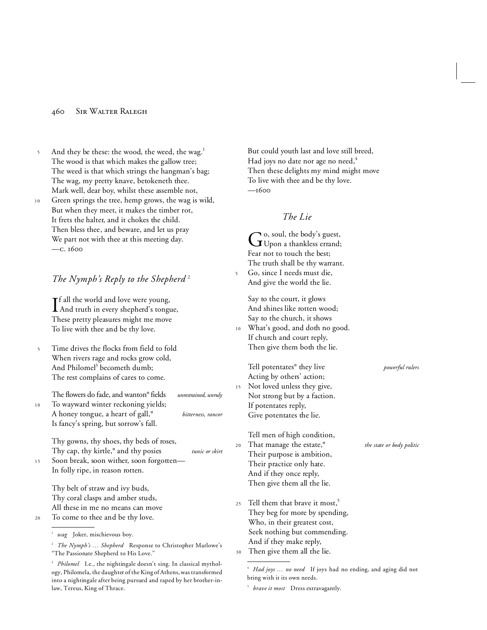- And they be these: the wood, the weed, the wag.<sup>1</sup> 5 The wood is that which makes the gallow tree; The weed is that which strings the hangman's bag; The wag, my pretty knave, betokeneth thee. Mark well, dear boy, whilst these assemble not,
- <sup>10</sup> Green springs the tree, hemp grows, the wag is wild, But when they meet, it makes the timber rot, It frets the halter, and it chokes the child. Then bless thee, and beware, and let us pray We part not with thee at this meeting day. —c. 1600

## *The Nymph's Reply to the Shepherd* 2

 $\prod_{n=1}^{\infty}$  and truth in every shepherd's tongue, Tf all the world and love were young, These pretty pleasures might me move To live with thee and be thy love.

<sup>5</sup> Time drives the flocks from field to fold When rivers rage and rocks grow cold, And Philomel<sup>3</sup> becometh dumb; The rest complains of cares to come.

The flowers do fade, and wanton°fields *unrestrained, unruly* <sup>10</sup> To wayward winter reckoning yields; A honey tongue, a heart of gall,° *bitterness, rancor* Is fancy's spring, but sorrow's fall.

Thy gowns, thy shoes, thy beds of roses, Thy cap, thy kirtle,° and thy posies *tunic or skirt* <sup>15</sup> Soon break, soon wither, soon forgotten—

In folly ripe, in reason rotten.

Thy belt of straw and ivy buds, Thy coral clasps and amber studs, All these in me no means can move <sup>20</sup> To come to thee and be thy love.

But could youth last and love still breed, Had joys no date nor age no need, $4$ Then these delights my mind might move To live with thee and be thy love. —1600

#### *The Lie*

G o, soul, the body's guest,<br>G Upon a thankless errand; o, soul, the body's guest, Fear not to touch the best; The truth shall be thy warrant. <sup>5</sup> Go, since I needs must die, And give the world the lie.

Say to the court, it glows And shines like rotten wood; Say to the church, it shows

<sup>10</sup> What's good, and doth no good. If church and court reply, Then give them both the lie.

Tell potentates° they live *powerful rulers* Acting by others' action; <sup>15</sup> Not loved unless they give, Not strong but by a faction. If potentates reply,

Give potentates the lie.

Tell men of high condition, <sup>20</sup> That manage the estate,° *the state or body politic* Their purpose is ambition, Their practice only hate. And if they once reply, Then give them all the lie.

Tell them that brave it most,<sup>5</sup> 25 They beg for more by spending, Who, in their greatest cost, Seek nothing but commending. And if they make reply, <sup>30</sup> Then give them all the lie.

wag Joker, mischievous boy.

<sup>2</sup> *The Nymph's … Shepherd* Response to Christopher Marlowe's "The Passionate Shepherd to His Love."

<sup>&</sup>lt;sup>3</sup> *Philomel* I.e., the nightingale doesn't sing. In classical mythology, Philomela, the daughter of the King of Athens, was transformed into a nightingale after being pursued and raped by her brother-inlaw, Tereus, King of Thrace.

<sup>4</sup> *Had joys … no need* If joys had no ending, and aging did not bring with it its own needs.

<sup>5</sup> *brave it most* Dress extravagantly.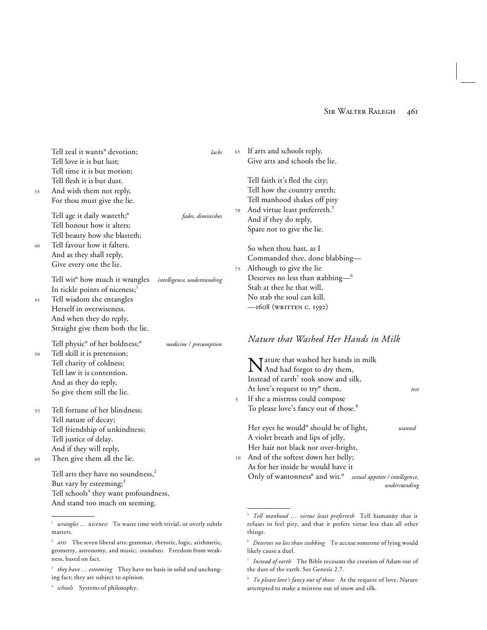|    | Tell zeal it wants <sup>°</sup> devotion;<br>Tell love it is but lust;                                                                                                                                                                      | lacks                       | 65 | If arts and schools reply,<br>Give arts and schools the lie.                                                                                                                                                                                                                                                                                                                                                                                                                                                                                                                                                                                                                                                                                                                                                                                                                                                                                                                                                                                                                        |
|----|---------------------------------------------------------------------------------------------------------------------------------------------------------------------------------------------------------------------------------------------|-----------------------------|----|-------------------------------------------------------------------------------------------------------------------------------------------------------------------------------------------------------------------------------------------------------------------------------------------------------------------------------------------------------------------------------------------------------------------------------------------------------------------------------------------------------------------------------------------------------------------------------------------------------------------------------------------------------------------------------------------------------------------------------------------------------------------------------------------------------------------------------------------------------------------------------------------------------------------------------------------------------------------------------------------------------------------------------------------------------------------------------------|
| 35 | Tell time it is but motion;<br>Tell flesh it is but dust.<br>And wish them not reply,<br>For thou must give the lie.                                                                                                                        |                             |    | Tell faith it's fled the city;<br>Tell how the country erreth;<br>Tell manhood shakes off pity<br>And virtue least preferreth. <sup>5</sup><br>And if they do reply,<br>Spare not to give the lie.<br>So when thou hast, as I<br>Commanded thee, done blabbing-<br>Although to give the lie<br>Deserves no less than stabbing— $6$<br>Stab at thee he that will,<br>No stab the soul can kill.<br>$-1608$ (written c. 1592)<br>Nature that Washed Her Hands in Milk<br>Nature that washed her hands in milk<br>N And had forgot to dry them,<br>Instead of earth <sup>7</sup> took snow and silk,<br>At love's request to try <sup>o</sup> them,<br>test<br>If she a mistress could compose<br>To please love's fancy out of those. <sup>8</sup><br>Her eyes he would <sup>o</sup> should be of light,<br>wanted<br>A violet breath and lips of jelly,<br>Her hair not black nor over-bright,<br>And of the softest down her belly;<br>As for her inside he would have it<br>Only of wantonness <sup>o</sup> and wit. <sup>o</sup> sexual appetite / intelligence,<br>understanding |
| 40 | Tell age it daily wasteth; <sup>o</sup><br>Tell honour how it alters;<br>Tell beauty how she blasteth;<br>Tell favour how it falters.<br>And as they shall reply,                                                                           | fades, diminishes           | 70 |                                                                                                                                                                                                                                                                                                                                                                                                                                                                                                                                                                                                                                                                                                                                                                                                                                                                                                                                                                                                                                                                                     |
| 45 | Give every one the lie.<br>Tell wit <sup>o</sup> how much it wrangles<br>In tickle points of niceness; <sup>1</sup><br>Tell wisdom she entangles<br>Herself in overwiseness.<br>And when they do reply,<br>Straight give them both the lie. | intelligence, understanding | 75 |                                                                                                                                                                                                                                                                                                                                                                                                                                                                                                                                                                                                                                                                                                                                                                                                                                                                                                                                                                                                                                                                                     |
| 50 | Tell physic <sup>°</sup> of her boldness; <sup>°</sup><br>Tell skill it is pretension;<br>Tell charity of coldness;<br>Tell law it is contention.<br>And as they do reply,<br>So give them still the lie.                                   | medicine   presumption      | 5  |                                                                                                                                                                                                                                                                                                                                                                                                                                                                                                                                                                                                                                                                                                                                                                                                                                                                                                                                                                                                                                                                                     |
| 55 | Tell fortune of her blindness;<br>Tell nature of decay;<br>Tell friendship of unkindness;<br>Tell justice of delay.<br>And if they will reply,<br>Then give them all the lie.                                                               |                             | 10 |                                                                                                                                                                                                                                                                                                                                                                                                                                                                                                                                                                                                                                                                                                                                                                                                                                                                                                                                                                                                                                                                                     |
| 60 | Tell arts they have no soundness, <sup>2</sup><br>But vary by esteeming; <sup>3</sup><br>Tell schools <sup>4</sup> they want profoundness,<br>And stand too much on seeming.                                                                |                             |    |                                                                                                                                                                                                                                                                                                                                                                                                                                                                                                                                                                                                                                                                                                                                                                                                                                                                                                                                                                                                                                                                                     |
|    | <i>urangles niceness</i> To waste time with trivial, or overly subtle<br>matters.                                                                                                                                                           |                             |    | Tell manhood  virtue least preferreth Tell humanity that it<br>refuses to feel pity, and that it prefers virtue less than all other<br>things.                                                                                                                                                                                                                                                                                                                                                                                                                                                                                                                                                                                                                                                                                                                                                                                                                                                                                                                                      |

<sup>6</sup> *Deserves no less than stabbing* To accusesomeone of lying would

likely cause a duel.

<sup>2</sup> *arts* The seven liberal arts: grammar, rhetoric, logic, arithmetic, geometry, astronomy, and music; *soundness* Freedom from weakness, based on fact.

<sup>3</sup> *they have … esteeming* They have no basis in solid and unchanging fact; they are subject to opinion.

<sup>4</sup> *schools* Systems of philosophy.

<sup>7</sup> *Instead of earth* The Bible recounts the creation of Adam out of the dust of the earth. See Genesis 2.7.

<sup>8</sup> *To please love's fancy out of those* At the request of love, Nature attempted to make a mistress out of snow and silk.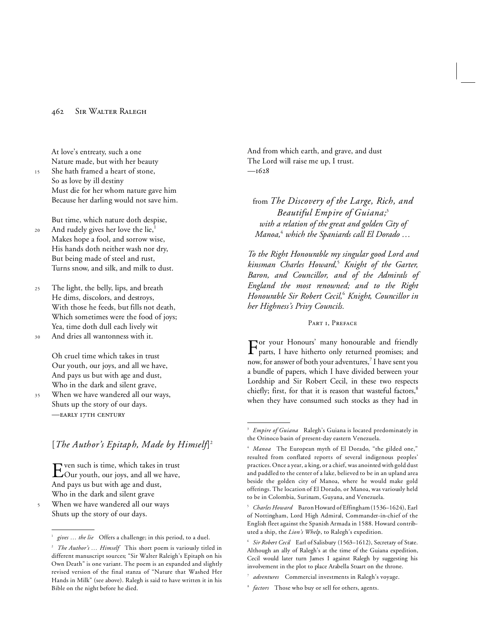At love's entreaty, such a one Nature made, but with her beauty <sup>15</sup> She hath framed a heart of stone, So as love by ill destiny Must die for her whom nature gave him Because her darling would not save him.

But time, which nature doth despise, And rudely gives her love the lie,<sup>1</sup> Makes hope a fool, and sorrow wise,

20

- His hands doth neither wash nor dry, But being made of steel and rust, Turns snow, and silk, and milk to dust.
- <sup>25</sup> The light, the belly, lips, and breath He dims, discolors, and destroys, With those he feeds, but fills not death, Which sometimes were the food of joys; Yea, time doth dull each lively wit
- <sup>30</sup> And dries all wantonness with it.

Oh cruel time which takes in trust Our youth, our joys, and all we have, And pays us but with age and dust, Who in the dark and silent grave, <sup>35</sup> When we have wandered all our ways, Shuts up the story of our days.

—early 17th century

# [*The Author's Epitaph, Made by Himself*] 2

E ven such is time, which takes in trust<br>Our youth, our joys, and all we have, Our youth, our joys, and all we have, And pays us but with age and dust, Who in the dark and silent grave <sup>5</sup> When we have wandered all our ways Shuts up the story of our days.

And from which earth, and grave, and dust The Lord will raise me up, I trust. —1628

from *The Discovery of the Large, Rich, and Beautiful Empire of Guiana;*<sup>3</sup> *with a relation of the great and golden City of Manoa,*<sup>4</sup>  *which the Spaniards call El Dorado …*

*To the Right Honourable my singular good Lord and kinsman Charles Howard,*<sup>5</sup> *Knight of the Garter, Baron, and Councillor, and of the Admirals of England the most renowned; and to the Right Honourable Sir Robert Cecil,*<sup>6</sup>  *Knight, Councillor in her Highness's Privy Councils.*

#### PART I, PREFACE

 $\Gamma$  parts, I have hitherto only returned promises; and parts, I have hitherto only returned promises; and now, for answer of both your adventures, 7 I have sent you a bundle of papers, which I have divided between your Lordship and Sir Robert Cecil, in these two respects chiefly; first, for that it is reason that wasteful factors, $8$ when they have consumed such stocks as they had in

<sup>1</sup> *gives … the lie* Offers a challenge; in this period, to a duel.

<sup>2</sup> *The Author's … Himself* This short poem is variously titled in different manuscript sources; "Sir Walter Raleigh's Epitaph on his Own Death" is one variant. The poem is an expanded and slightly revised version of the final stanza of "Nature that Washed Her Hands in Milk" (see above). Ralegh is said to have written it in his Bible on the night before he died.

<sup>3</sup> *Empire of Guiana* Ralegh's Guiana is located predominately in the Orinoco basin of present-day eastern Venezuela.

<sup>4</sup> *Manoa* The European myth of El Dorado, "the gilded one," resulted from conflated reports of several indigenous peoples' practices. Once a year, a king, or a chief, was anointed with gold dust and paddled to the center of a lake, believed to be in an upland area beside the golden city of Manoa, where he would make gold offerings. The location of El Dorado, or Manoa, was variously held to be in Colombia, Surinam, Guyana, and Venezuela.

<sup>5</sup> *Charles Howard* BaronHoward of Effingham(1536–1624), Earl of Nottingham, Lord High Admiral, Commander-in-chief of the English fleet against the Spanish Armada in 1588. Howard contributed a ship, the *Lion's Whelp*, to Ralegh's expedition.

<sup>6</sup> *Sir Robert Cecil* Earl of Salisbury (1563–1612), Secretary of State. Although an ally of Ralegh's at the time of the Guiana expedition, Cecil would later turn James I against Ralegh by suggesting his involvement in the plot to place Arabella Stuart on the throne.

*adventures* Commercial investments in Ralegh's voyage.

<sup>8</sup> *factors* Those who buy or sell for others, agents.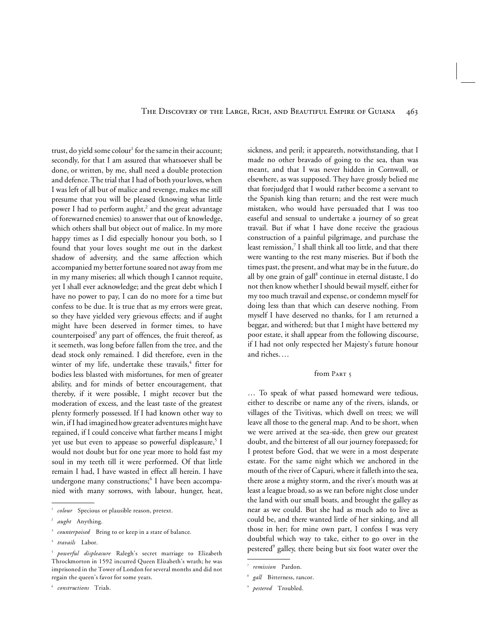trust, do yield some colour<sup>1</sup> for the same in their account; secondly, for that I am assured that whatsoever shall be done, or written, by me, shall need a double protection and defence. The trial that I had of both your loves, when I was left of all but of malice and revenge, makes me still presume that you will be pleased (knowing what little power I had to perform aught, $^2$  and the great advantage of forewarned enemies) to answer that out of knowledge, which others shall but object out of malice. In my more happy times as I did especially honour you both, so I found that your loves sought me out in the darkest shadow of adversity, and the same affection which accompanied my better fortune soared not away from me in my many miseries; all which though I cannot requite, yet I shall ever acknowledge; and the great debt which I have no power to pay, I can do no more for a time but confess to be due. It is true that as my errors were great, so they have yielded very grievous effects; and if aught might have been deserved in former times, to have counterpoised<sup>3</sup> any part of offences, the fruit thereof, as it seemeth, was long before fallen from the tree, and the dead stock only remained. I did therefore, even in the winter of my life, undertake these travails,<sup>4</sup> fitter for bodies less blasted with misfortunes, for men of greater ability, and for minds of better encouragement, that thereby, if it were possible, I might recover but the moderation of excess, and the least taste of the greatest plenty formerly possessed. If I had known other way to win, if I had imagined how greater adventures might have regained, if I could conceive what farther means I might yet use but even to appease so powerful displeasure, 5 I would not doubt but for one year more to hold fast my soul in my teeth till it were performed. Of that little remain I had, I have wasted in effect all herein. I have undergone many constructions;<sup>6</sup> I have been accompanied with many sorrows, with labour, hunger, heat,

sickness, and peril; it appeareth, notwithstanding, that I made no other bravado of going to the sea, than was meant, and that I was never hidden in Cornwall, or elsewhere, as was supposed. They have grossly belied me that forejudged that I would rather become a servant to the Spanish king than return; and the rest were much mistaken, who would have persuaded that I was too easeful and sensual to undertake a journey of so great travail. But if what I have done receive the gracious construction of a painful pilgrimage, and purchase the least remission, $^7$  I shall think all too little, and that there were wanting to the rest many miseries. But if both the times past, the present, and what may be in the future, do all by one grain of gall<sup>8</sup> continue in eternal distaste, I do not then know whether I should bewail myself, either for my too much travail and expense, or condemn myself for doing less than that which can deserve nothing. From myself I have deserved no thanks, for I am returned a beggar, and withered; but that I might have bettered my poor estate, it shall appear from the following discourse, if I had not only respected her Majesty's future honour and riches.…

#### from PART 5

… To speak of what passed homeward were tedious, either to describe or name any of the rivers, islands, or villages of the Tivitivas, which dwell on trees; we will leave all those to the general map. And to be short, when we were arrived at the sea-side, then grew our greatest doubt, and the bitterest of all our journey forepassed; for I protest before God, that we were in a most desperate estate. For the same night which we anchored in the mouth of the river of Capuri, where it falleth into the sea, there arose a mighty storm, and the river's mouth was at least a league broad, so as we ran before night close under the land with our small boats, and brought the galley as near as we could. But she had as much ado to live as could be, and there wanted little of her sinking, and all those in her; for mine own part, I confess I was very doubtful which way to take, either to go over in the pestered<sup>9</sup> galley, there being but six foot water over the

<sup>&</sup>lt;sup>1</sup> colour Specious or plausible reason, pretext.

<sup>2</sup> *aught* Anything.

<sup>3</sup> *counterpoised* Bring to or keep in a state of balance.

<sup>4</sup> *travails* Labor.

<sup>5</sup> *powerful displeasure* Ralegh's secret marriage to Elizabeth Throckmorton in 1592 incurred Queen Elizabeth's wrath; he was imprisoned in the Tower of London for several months and did not regain the queen's favor for some years.

<sup>6</sup> *constructions* Trials.

<sup>7</sup> *remission* Pardon.

<sup>8</sup> *gall* Bitterness, rancor.

<sup>9</sup> *pestered* Troubled.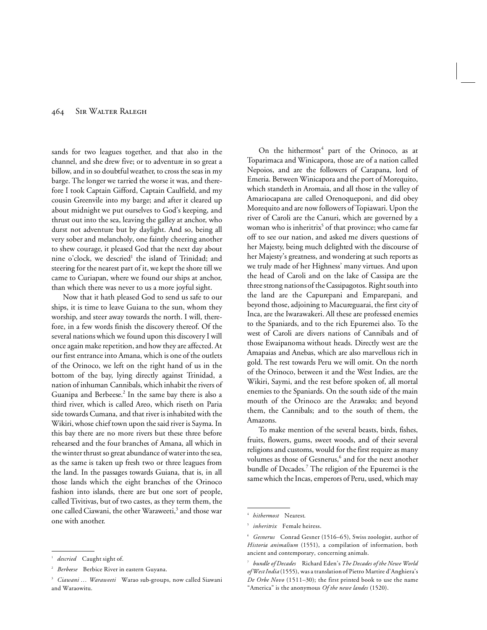sands for two leagues together, and that also in the channel, and she drew five; or to adventure in so great a billow, and in so doubtful weather, to cross the seas in my barge. The longer we tarried the worse it was, and therefore I took Captain Gifford, Captain Caulfield, and my cousin Greenvile into my barge; and after it cleared up about midnight we put ourselves to God's keeping, and thrust out into the sea, leaving the galley at anchor, who durst not adventure but by daylight. And so, being all very sober and melancholy, one faintly cheering another to shew courage, it pleased God that the next day about nine o'clock, we descried<sup>1</sup> the island of Trinidad; and steering for the nearest part of it, we kept the shore till we came to Curiapan, where we found our ships at anchor, than which there was never to us a more joyful sight.

Now that it hath pleased God to send us safe to our ships, it is time to leave Guiana to the sun, whom they worship, and steer away towards the north. I will, therefore, in a few words finish the discovery thereof. Of the several nationswhich we found upon this discovery I will once again make repetition, and how they are affected. At our first entrance into Amana, which is one of the outlets of the Orinoco, we left on the right hand of us in the bottom of the bay, lying directly against Trinidad, a nation of inhuman Cannibals, which inhabit the rivers of Guanipa and Berbeese. 2 In the same bay there is also a third river, which is called Areo, which riseth on Paria side towards Cumana, and that river is inhabited with the Wikiri, whose chief town upon thesaid river is Sayma. In this bay there are no more rivers but these three before rehearsed and the four branches of Amana, all which in the winter thrust so great abundance of water into the sea, as the same is taken up fresh two or three leagues from the land. In the passages towards Guiana, that is, in all those lands which the eight branches of the Orinoco fashion into islands, there are but one sort of people, called Tivitivas, but of two castes, as they term them, the one called Ciawani, the other Waraweeti,<sup>3</sup> and those war one with another.

On the hithermost<sup>4</sup> part of the Orinoco, as at Toparimaca and Winicapora, those are of a nation called Nepoios, and are the followers of Carapana, lord of Emeria. Between Winicapora and the port of Morequito, which standeth in Aromaia, and all those in the valley of Amariocapana are called Orenoqueponi, and did obey Morequito and are now followers of Topiawari. Upon the river of Caroli are the Canuri, which are governed by a woman who is inheritrix<sup>5</sup> of that province; who came far off to see our nation, and asked me divers questions of her Majesty, being much delighted with the discourse of her Majesty's greatness, and wondering at such reports as we truly made of her Highness' many virtues. And upon the head of Caroli and on the lake of Cassipa are the three strong nations of the Cassipagotos. Right south into the land are the Capurepani and Emparepani, and beyond those, adjoining to Macureguarai, the first city of Inca, are the Iwarawakeri. All these are professed enemies to the Spaniards, and to the rich Epuremei also. To the west of Caroli are divers nations of Cannibals and of those Ewaipanoma without heads. Directly west are the Amapaias and Anebas, which are also marvellous rich in gold. The rest towards Peru we will omit. On the north of the Orinoco, between it and the West Indies, are the Wikiri, Saymi, and the rest before spoken of, all mortal enemies to the Spaniards. On the south side of the main mouth of the Orinoco are the Arawaks; and beyond them, the Cannibals; and to the south of them, the Amazons.

To make mention of the several beasts, birds, fishes, fruits, flowers, gums, sweet woods, and of their several religions and customs, would for the first require as many volumes as those of Gesnerus, 6 and for the next another bundle of Decades.<sup>7</sup> The religion of the Epuremei is the same which the Incas, emperors of Peru, used, which may

<sup>1</sup> *descried* Caught sight of.

<sup>2</sup> *Berbeese* Berbice River in eastern Guyana.

<sup>3</sup> *Ciawani … Waraweeti* Warao sub-groups, now called Siawani and Waraowitu.

<sup>4</sup> *hithermost* Nearest.

<sup>5</sup> *inheritrix* Female heiress.

<sup>6</sup> *Gesnerus* Conrad Gesner (1516–65), Swiss zoologist, author of *Historia animalium* (1551), a compilation of information, both ancient and contemporary, concerning animals.

<sup>7</sup> *bundle of Decades* Richard Eden's *The Decades of the Newe World of WestIndia* (1555), was a translationof Pietro Martire d'Anghiera's *De Orbe Novo* (1511–30); the first printed book to use the name "America" is the anonymous *Of the newe landes* (1520).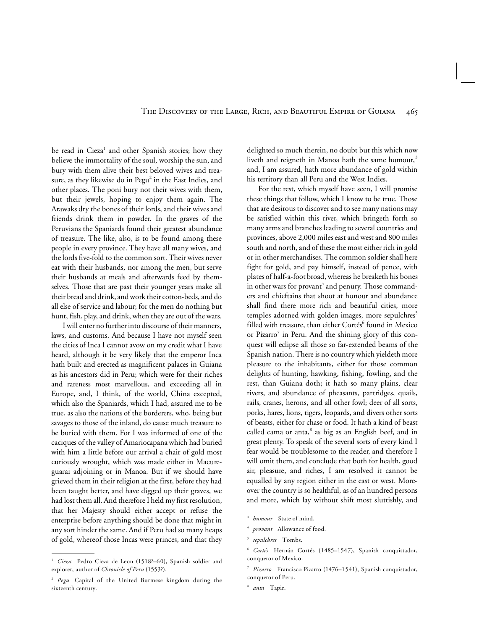be read in Cieza<sup>1</sup> and other Spanish stories; how they believe the immortality of the soul, worship the sun, and bury with them alive their best beloved wives and treasure, as they likewise do in Pegu<sup>2</sup> in the East Indies, and other places. The poni bury not their wives with them, but their jewels, hoping to enjoy them again. The Arawaks dry the bones of their lords, and their wives and friends drink them in powder. In the graves of the Peruvians the Spaniards found their greatest abundance of treasure. The like, also, is to be found among these people in every province. They have all many wives, and the lords five-fold to the common sort. Their wives never eat with their husbands, nor among the men, but serve their husbands at meals and afterwards feed by themselves. Those that are past their younger years make all their bread and drink, andwork their cotton-beds, and do all else of service and labour; for the men do nothing but hunt, fish, play, and drink, when they are out of the wars.

I will enter no further into discourse of their manners, laws, and customs. And because I have not myself seen the cities of Inca I cannot avow on my credit what I have heard, although it be very likely that the emperor Inca hath built and erected as magnificent palaces in Guiana as his ancestors did in Peru; which were for their riches and rareness most marvellous, and exceeding all in Europe, and, I think, of the world, China excepted, which also the Spaniards, which I had, assured me to be true, as also the nations of the borderers, who, being but savages to those of the inland, do cause much treasure to be buried with them. For I was informed of one of the caciques of the valley of Amariocapana which had buried with him a little before our arrival a chair of gold most curiously wrought, which was made either in Macureguarai adjoining or in Manoa. But if we should have grieved them in their religion at the first, before they had been taught better, and have digged up their graves, we had lost them all. And therefore I held my first resolution, that her Majesty should either accept or refuse the enterprise before anything should be done that might in any sort hinder the same. And if Peru had so many heaps of gold, whereof those Incas were princes, and that they

delighted so much therein, no doubt but this which now liveth and reigneth in Manoa hath the same humour, $3$ and, I am assured, hath more abundance of gold within his territory than all Peru and the West Indies.

For the rest, which myself have seen, I will promise these things that follow, which I know to be true. Those that are desirous to discover and to see many nations may be satisfied within this river, which bringeth forth so many arms and branches leading to several countries and provinces, above 2,000 miles east and west and 800 miles south and north, and of these the most either rich in gold or in other merchandises. The common soldier shall here fight for gold, and pay himself, instead of pence, with plates of half-a-foot broad, whereas he breaketh his bones in other wars for provant $\mathrm{^4}$  and penury. Those commanders and chieftains that shoot at honour and abundance shall find there more rich and beautiful cities, more temples adorned with golden images, more sepulchres 5 filled with treasure, than either Cortés<sup>6</sup> found in Mexico or Pizarro<sup>7</sup> in Peru. And the shining glory of this conquest will eclipse all those so far-extended beams of the Spanish nation. There is no country which yieldeth more pleasure to the inhabitants, either for those common delights of hunting, hawking, fishing, fowling, and the rest, than Guiana doth; it hath so many plains, clear rivers, and abundance of pheasants, partridges, quails, rails, cranes, herons, and all other fowl; deer of all sorts, porks, hares, lions, tigers, leopards, and divers other sorts of beasts, either for chase or food. It hath a kind of beast called cama or anta,<sup>8</sup> as big as an English beef, and in great plenty. To speak of the several sorts of every kind I fear would be troublesome to the reader, and therefore I will omit them, and conclude that both for health, good air, pleasure, and riches, I am resolved it cannot be equalled by any region either in the east or west. Moreover the country is so healthful, as of an hundred persons and more, which lay without shift most sluttishly, and

<sup>1</sup> *Cieza* Pedro Cieza de Leon (1518?–60), Spanish soldier and explorer, author of *Chronicle of Peru* (1553?).

<sup>2</sup> *Pegu* Capital of the United Burmese kingdom during the sixteenth century.

<sup>3</sup> *humour* State of mind.

<sup>4</sup> *provant* Allowance of food.

<sup>5</sup> *sepulchres* Tombs.

<sup>6</sup> *Cortés* Hernán Cortés (1485–1547), Spanish conquistador, conqueror of Mexico.

<sup>7</sup> *Pizarro* Francisco Pizarro (1476–1541), Spanish conquistador, conqueror of Peru.

<sup>8</sup> *anta* Tapir.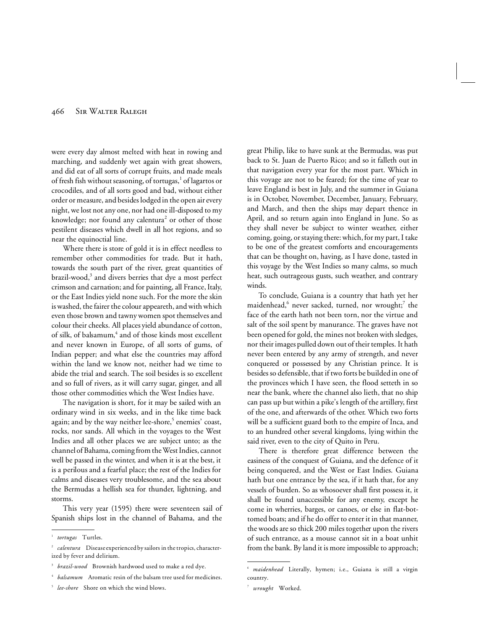were every day almost melted with heat in rowing and marching, and suddenly wet again with great showers, and did eat of all sorts of corrupt fruits, and made meals of fresh fish without seasoning, of tortugas,<sup>1</sup> of lagartos or crocodiles, and of all sorts good and bad, without either order or measure, and besides lodged in the open air every night, welost not any one, nor had oneill-disposed to my knowledge; nor found any calentura $^2$  or other of those pestilent diseases which dwell in all hot regions, and so near the equinoctial line.

Where there is store of gold it is in effect needless to remember other commodities for trade. But it hath, towards the south part of the river, great quantities of brazil-wood, $3$  and divers berries that dye a most perfect crimson and carnation; and for painting, all France, Italy, or the East Indies yield none such. For the more the skin is washed, the fairer the colour appeareth, and with which even those brown and tawnywomen spot themselves and colour their cheeks. All places yield abundance of cotton, of silk, of balsamum, 4 and of those kinds most excellent and never known in Europe, of all sorts of gums, of Indian pepper; and what else the countries may afford within the land we know not, neither had we time to abide the trial and search. The soil besides is so excellent and so full of rivers, as it will carry sugar, ginger, and all those other commodities which the West Indies have.

The navigation is short, for it may be sailed with an ordinary wind in six weeks, and in the like time back again; and by the way neither lee-shore, 5 enemies' coast, rocks, nor sands. All which in the voyages to the West Indies and all other places we are subject unto; as the channel of Bahama, coming from the West Indies, cannot well be passed in the winter, and when it is at the best, it is a perilous and a fearful place; the rest of the Indies for calms and diseases very troublesome, and the sea about the Bermudas a hellish sea for thunder, lightning, and storms.

This very year (1595) there were seventeen sail of Spanish ships lost in the channel of Bahama, and the

great Philip, like to have sunk at the Bermudas, was put back to St. Juan de Puerto Rico; and so it falleth out in that navigation every year for the most part. Which in this voyage are not to be feared; for the time of year to leave England is best in July, and the summer in Guiana is in October, November, December, January, February, and March, and then the ships may depart thence in April, and so return again into England in June. So as they shall never be subject to winter weather, either coming, going, or staying there: which, for my part, I take to be one of the greatest comforts and encouragements that can be thought on, having, as I have done, tasted in this voyage by the West Indies so many calms, so much heat, such outrageous gusts, such weather, and contrary winds.

To conclude, Guiana is a country that hath yet her maidenhead,<sup>6</sup> never sacked, turned, nor wrought;<sup>7</sup> the face of the earth hath not been torn, nor the virtue and salt of the soil spent by manurance. The graves have not been opened for gold, the mines not broken with sledges, nor their images pulled down out of their temples. It hath never been entered by any army of strength, and never conquered or possessed by any Christian prince. It is besides so defensible, that if two forts be builded in one of the provinces which I have seen, the flood setteth in so near the bank, where the channel also lieth, that no ship can pass up but within a pike's length of the artillery, first of the one, and afterwards of the other. Which two forts will be a sufficient guard both to the empire of Inca, and to an hundred other several kingdoms, lying within the said river, even to the city of Quito in Peru.

There is therefore great difference between the easiness of the conquest of Guiana, and the defence of it being conquered, and the West or East Indies. Guiana hath but one entrance by the sea, if it hath that, for any vessels of burden. So as whosoever shall first possess it, it shall be found unaccessible for any enemy, except he come in wherries, barges, or canoes, or else in flat-bottomed boats; and if he do offer to enter it in that manner, the woods are so thick 200 miles together upon the rivers of such entrance, as a mouse cannot sit in a boat unhit from the bank. By land it is more impossible to approach;

<sup>1</sup> *tortugas* Turtles.

<sup>&</sup>lt;sup>2</sup> calentura Disease experienced by sailors in the tropics, characterized by fever and delirium.

<sup>3</sup> *brazil-wood* Brownish hardwood used to make a red dye.

<sup>4</sup> *balsamum* Aromatic resin of the balsam tree used for medicines.

<sup>5</sup> *lee-shore* Shore on which the wind blows.

maidenhead Literally, hymen; i.e., Guiana is still a virgin country.

<sup>7</sup> *wrought* Worked.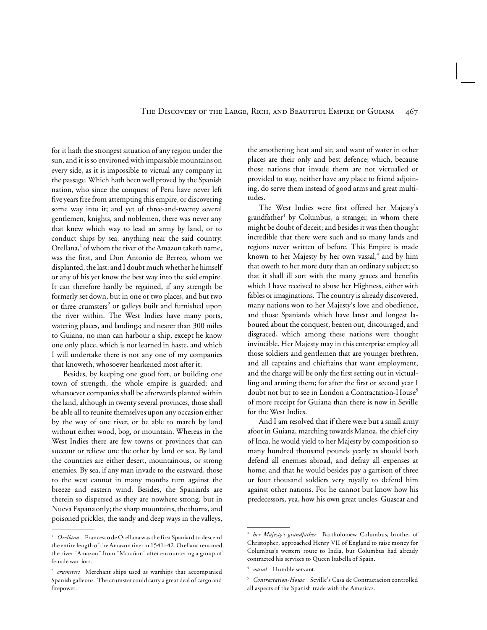for it hath the strongest situation of any region under the sun, and it is so environed with impassable mountains on every side, as it is impossible to victual any company in the passage. Which hath been well proved by the Spanish nation, who since the conquest of Peru have never left five years free from attempting this empire, or discovering some way into it; and yet of three-and-twenty several gentlemen, knights, and noblemen, there was never any that knew which way to lead an army by land, or to conduct ships by sea, anything near the said country. Orellana,<sup>1</sup> of whom the river of the Amazon taketh name, was the first, and Don Antonio de Berreo, whom we displanted, the last: and I doubt much whether he himself or any of his yet know the best way into the said empire. It can therefore hardly be regained, if any strength be formerly set down, but in one or two places, and but two or three crumsters<sup>2</sup> or galleys built and furnished upon the river within. The West Indies have many ports, watering places, and landings; and nearer than 300 miles to Guiana, no man can harbour a ship, except he know one only place, which is not learned in haste, and which I will undertake there is not any one of my companies that knoweth, whosoever hearkened most after it.

Besides, by keeping one good fort, or building one town of strength, the whole empire is guarded; and whatsoever companies shall be afterwards planted within the land, although in twenty several provinces, those shall be able all to reunite themselves upon any occasion either by the way of one river, or be able to march by land without either wood, bog, or mountain. Whereas in the West Indies there are few towns or provinces that can succour or relieve one the other by land or sea. By land the countries are either desert, mountainous, or strong enemies. By sea, if any man invade to the eastward, those to the west cannot in many months turn against the breeze and eastern wind. Besides, the Spaniards are therein so dispersed as they are nowhere strong, but in Nueva Espana only; the sharp mountains, the thorns, and poisoned prickles, the sandy and deep ways in the valleys,

the smothering heat and air, and want of water in other places are their only and best defence; which, because those nations that invade them are not victualled or provided to stay, neither have any place to friend adjoining, do serve them instead of good arms and great multitudes.

The West Indies were first offered her Majesty's grandfather<sup>3</sup> by Columbus, a stranger, in whom there might be doubt of deceit; and besides it was then thought incredible that there were such and so many lands and regions never written of before. This Empire is made known to her Majesty by her own vassal, $^4$  and by him that oweth to her more duty than an ordinary subject; so that it shall ill sort with the many graces and benefits which I have received to abuse her Highness, either with fables or imaginations. The country is already discovered, many nations won to her Majesty's love and obedience, and those Spaniards which have latest and longest laboured about the conquest, beaten out, discouraged, and disgraced, which among these nations were thought invincible. Her Majesty may in this enterprise employ all those soldiers and gentlemen that are younger brethren, and all captains and chieftains that want employment, and the charge will be only the first setting out in victualling and arming them; for after the first or second year I doubt not but to see in London a Contractation-House 5 of more receipt for Guiana than there is now in Seville for the West Indies.

And I am resolved that if there were but a small army afoot inGuiana, marching towards Manoa, the chief city of Inca, he would yield to her Majesty by composition so many hundred thousand pounds yearly as should both defend all enemies abroad, and defray all expenses at home; and that he would besides pay a garrison of three or four thousand soldiers very royally to defend him against other nations. For he cannot but know how his predecessors, yea, how his own great uncles, Guascar and

<sup>&</sup>lt;sup>1</sup> *Orellana* Francesco de Orellana was the first Spaniard to descend the entire length of the Amazon river in 1541–42. Orellana renamed the river "Amazon" from "Marañon" after encountering a group of female warriors.

<sup>2</sup> *crumsters* Merchant ships used as warships that accompanied Spanish galleons. The crumster could carry a great deal of cargo and firepower.

<sup>3</sup> *her Majesty's grandfather* Bartholomew Columbus, brother of Christopher, approached Henry VII of England to raise money for Columbus's western route to India, but Columbus had already contracted his services to Queen Isabella of Spain.

<sup>4</sup> *vassal* Humble servant.

<sup>5</sup> *Contractation-House* Seville's Casa de Contractacion controlled all aspects of the Spanish trade with the Americas.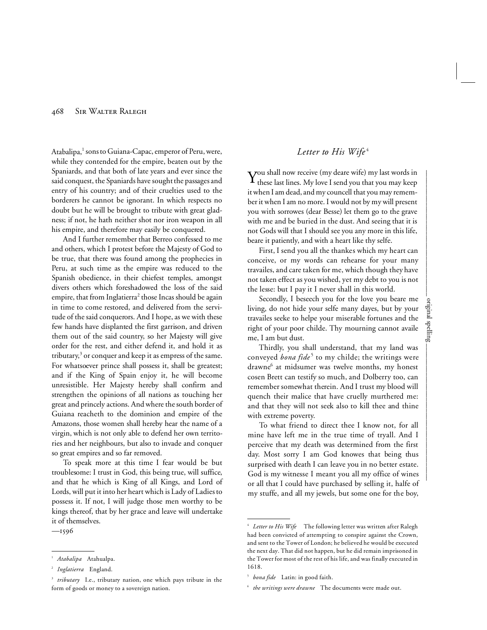Atabalipa,<sup>1</sup> sons to Guiana-Capac, emperor of Peru, were, while they contended for the empire, beaten out by the Spaniards, and that both of late years and ever since the said conquest, the Spaniards have sought the passages and entry of his country; and of their cruelties used to the borderers he cannot be ignorant. In which respects no doubt but he will be brought to tribute with great gladness; if not, he hath neither shot nor iron weapon in all his empire, and therefore may easily be conquered.

And I further remember that Berreo confessed to me and others, which I protest before the Majesty of God to be true, that there was found among the prophecies in Peru, at such time as the empire was reduced to the Spanish obedience, in their chiefest temples, amongst divers others which foreshadowed the loss of the said empire, that from Inglatierra<sup>2</sup> those Incas should be again in time to come restored, and delivered from the servitude of the said conquerors. And I hope, as we with these few hands have displanted the first garrison, and driven them out of the said country, so her Majesty will give order for the rest, and either defend it, and hold it as tributary, $3$  or conquer and keep it as empress of the same. For whatsoever prince shall possess it, shall be greatest; and if the King of Spain enjoy it, he will become unresistible. Her Majesty hereby shall confirm and strengthen the opinions of all nations as touching her great and princely actions. And where the south border of Guiana reacheth to the dominion and empire of the Amazons, those women shall hereby hear the name of a virgin, which is not only able to defend her own territories and her neighbours, but also to invade and conquer so great empires and so far removed.

To speak more at this time I fear would be but troublesome: I trust in God, this being true, will suffice, and that he which is King of all Kings, and Lord of Lords, will put it into her heart which is Lady of Ladiesto possess it. If not, I will judge those men worthy to be kings thereof, that by her grace and leave will undertake it of themselves.

## *Letter to His Wife* <sup>4</sup>

 $\rm Y$ ou shall now receive (my deare wife) my last words in these last lines. My love I send you that you may keep these last lines. My love I send you that you may keep it when I am dead, and my councell that you may rememberit when I am no more. I would not by my will present you with sorrowes (dear Besse) let them go to the grave with me and be buried in the dust. And seeing that it is not Gods will that I should see you any more in this life, beare it patiently, and with a heart like thy selfe.

First, I send you all the thankes which my heart can conceive, or my words can rehearse for your many travailes, and care taken for me, which though they have not taken effect as you wished, yet my debt to you is not the lesse: but I pay it I never shall in this world.

Secondly, I beseech you for the love you beare me living, do not hide your selfe many dayes, but by your travailes seeke to helpe your miserable fortunes and the right of your poor childe. Thy mourning cannot availe me, I am but dust.

Thirdly, you shall understand, that my land was conveyed *bona fide<sup>5</sup>* to my childe; the writings were drawne<sup>6</sup> at midsumer was twelve months, my honest cosen Brett can testify so much, and Dolberry too, can remember somewhat therein. And I trust my blood will quench their malice that have cruelly murthered me: and that they will not seek also to kill thee and thine with extreme poverty.

To what friend to direct thee I know not, for all mine have left me in the true time of tryall. And I perceive that my death was determined from the first day. Most sorry I am God knowes that being thus surprised with death I can leave you in no better estate. God is my witnesse I meant you all my office of wines or all that I could have purchased by selling it, halfe of my stuffe, and all my jewels, but some one for the boy,

 $\overline{\phantom{a}}$ 

 $\mathcal{L}=\mathcal{L}=\mathcal{L}=\mathcal{L}=\mathcal{L}=\mathcal{L}=\mathcal{L}=\mathcal{L}=\mathcal{L}=\mathcal{L}=\mathcal{L}=\mathcal{L}=\mathcal{L}=\mathcal{L}=\mathcal{L}=\mathcal{L}=\mathcal{L}=\mathcal{L}=\mathcal{L}=\mathcal{L}=\mathcal{L}=\mathcal{L}=\mathcal{L}=\mathcal{L}=\mathcal{L}=\mathcal{L}=\mathcal{L}=\mathcal{L}=\mathcal{L}=\mathcal{L}=\mathcal{L}=\mathcal{L}=\mathcal{L}=\mathcal{L}=\mathcal{L}=\mathcal{L}=\mathcal{$ 

<sup>—1596</sup>

<sup>1</sup> *Atabalipa* Atahualpa.

<sup>2</sup> *Inglatierra* England.

<sup>3</sup> *tributary* I.e., tributary nation, one which pays tribute in the form of goods or money to a sovereign nation.

<sup>4</sup> *Letter to His Wife* The following letter was written after Ralegh had been convicted of attempting to conspire against the Crown, and sent to the Tower of London; he believed he would be executed the next day. That did not happen, but he did remain imprisoned in the Tower for most of the rest of his life, and was finally executed in 1618.

<sup>5</sup> *bona fide* Latin: in good faith.

<sup>6</sup> *the writings were drawne* The documents were made out.